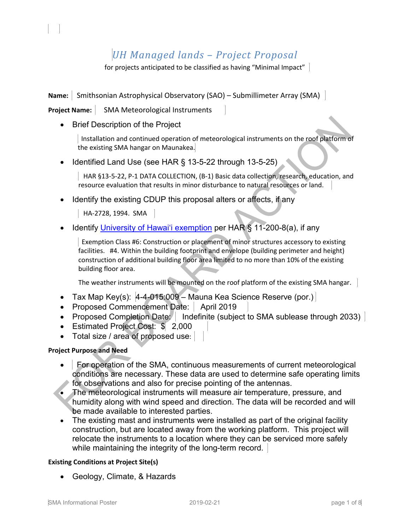# *UH Managed lands – Project Proposal*

for projects anticipated to be classified as having "Minimal Impact"

**Name:** Smithsonian Astrophysical Observatory (SAO) – Submillimeter Array (SMA)

**Project Name:** | SMA Meteorological Instruments

• Brief Description of the Project

l,

Installation and continued operation of meteorological instruments on the roof platform of the existing SMA hangar on Maunakea.

• Identified Land Use (see HAR § 13-5-22 through 13-5-25)

 HAR §13-5-22, P-1 DATA COLLECTION, (B-1) Basic data collection, research, education, and resource evaluation that results in minor disturbance to natural resources or land.

• Identify the existing CDUP this proposal alters or affects, if any

HA-2728, 1994. SMA

• Identify *University of Hawai'i exemption* per HAR § 11-200-8(a), if any

Exemption Class #6: Construction or placement of minor structures accessory to existing facilities. #4. Within the building footprint and envelope (building perimeter and height) construction of additional building floor area limited to no more than 10% of the existing building floor area.

The weather instruments will be mounted on the roof platform of the existing SMA hangar.

- Tax Map Key(s):  $\left|4-4-015:009-$  Mauna Kea Science Reserve (por.)
- Proposed Commencement Date: | April 2019
- Proposed Completion Date: | Indefinite (subject to SMA sublease through 2033) |
- Estimated Project Cost: \$ 2,000
- Total size / area of proposed use:

# **Project Purpose and Need**

- For operation of the SMA, continuous measurements of current meteorological conditions are necessary. These data are used to determine safe operating limits for observations and also for precise pointing of the antennas.
- The meteorological instruments will measure air temperature, pressure, and humidity along with wind speed and direction. The data will be recorded and will be made available to interested parties.
- The existing mast and instruments were installed as part of the original facility construction, but are located away from the working platform. This project will relocate the instruments to a location where they can be serviced more safely while maintaining the integrity of the long-term record.

# **Existing Conditions at Project Site(s)**

• Geology, Climate, & Hazards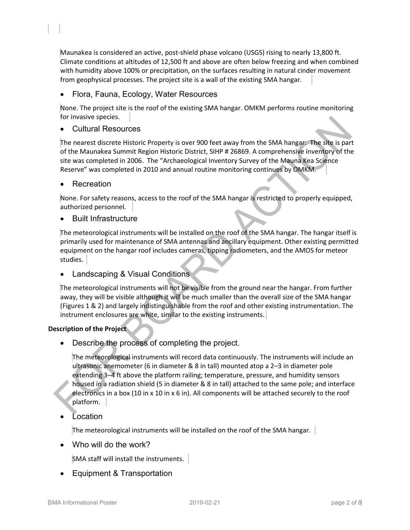Maunakea is considered an active, post-shield phase volcano (USGS) rising to nearly 13,800 ft. Climate conditions at altitudes of 12,500 ft and above are often below freezing and when combined with humidity above 100% or precipitation, on the surfaces resulting in natural cinder movement from geophysical processes. The project site is a wall of the existing SMA hangar.

• Flora, Fauna, Ecology, Water Resources

None. The project site is the roof of the existing SMA hangar. OMKM performs routine monitoring for invasive species.

• Cultural Resources

The nearest discrete Historic Property is over 900 feet away from the SMA hangar. The site is part of the Maunakea Summit Region Historic District, SIHP # 26869. A comprehensive inventory of the site was completed in 2006. The "Archaeological Inventory Survey of the Mauna Kea Science Reserve" was completed in 2010 and annual routine monitoring continues by OMKM.

**Recreation** 

l,

None. For safety reasons, access to the roof of the SMA hangar is restricted to properly equipped, authorized personnel.

• Built Infrastructure

The meteorological instruments will be installed on the roof of the SMA hangar. The hangar itself is primarily used for maintenance of SMA antennas and ancillary equipment. Other existing permitted equipment on the hangar roof includes cameras, tipping radiometers, and the AMOS for meteor studies.

Landscaping & Visual Conditions

The meteorological instruments will not be visible from the ground near the hangar. From further away, they will be visible although it will be much smaller than the overall size of the SMA hangar (Figures 1 & 2) and largely indistinguishable from the roof and other existing instrumentation. The instrument enclosures are white, similar to the existing instruments.

# **Description of the Project**

Describe the process of completing the project.

The meteorological instruments will record data continuously. The instruments will include an ultrasonic anemometer (6 in diameter & 8 in tall) mounted atop a 2–3 in diameter pole extending 3–4 ft above the platform railing; temperature, pressure, and humidity sensors housed in a radiation shield (5 in diameter & 8 in tall) attached to the same pole; and interface electronics in a box (10 in x 10 in x 6 in). All components will be attached securely to the roof platform.

**Location** 

The meteorological instruments will be installed on the roof of the SMA hangar.

• Who will do the work?

SMA staff will install the instruments.

• Equipment & Transportation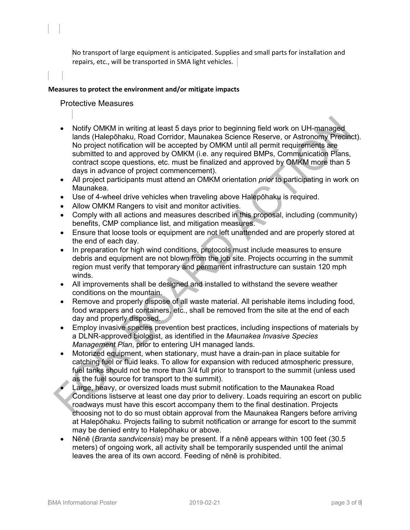No transport of large equipment is anticipated. Supplies and small parts for installation and repairs, etc., will be transported in SMA light vehicles.

#### **Measures to protect the environment and/or mitigate impacts**

Protective Measures

l,

- Notify OMKM in writing at least 5 days prior to beginning field work on UH-managed lands (Halepōhaku, Road Corridor, Maunakea Science Reserve, or Astronomy Precinct). No project notification will be accepted by OMKM until all permit requirements are submitted to and approved by OMKM (i.e. any required BMPs, Communication Plans, contract scope questions, etc. must be finalized and approved by OMKM more than 5 days in advance of project commencement).
- All project participants must attend an OMKM orientation *prior* to participating in work on Maunakea.
- Use of 4-wheel drive vehicles when traveling above Halepōhaku is required.
- Allow OMKM Rangers to visit and monitor activities.
- Comply with all actions and measures described in this proposal, including (community) benefits, CMP compliance list, and mitigation measures.
- Ensure that loose tools or equipment are not left unattended and are properly stored at the end of each day.
- In preparation for high wind conditions, protocols must include measures to ensure debris and equipment are not blown from the job site. Projects occurring in the summit region must verify that temporary and permanent infrastructure can sustain 120 mph winds.
- All improvements shall be designed and installed to withstand the severe weather conditions on the mountain.
- Remove and properly dispose of all waste material. All perishable items including food, food wrappers and containers, etc., shall be removed from the site at the end of each day and properly disposed.
- Employ invasive species prevention best practices, including inspections of materials by a DLNR-approved biologist, as identified in the *Maunakea Invasive Species Management Plan*, prior to entering UH managed lands.
- Motorized equipment, when stationary, must have a drain-pan in place suitable for catching fuel or fluid leaks. To allow for expansion with reduced atmospheric pressure, fuel tanks should not be more than 3/4 full prior to transport to the summit (unless used as the fuel source for transport to the summit).
- Large, heavy, or oversized loads must submit notification to the Maunakea Road Conditions listserve at least one day prior to delivery. Loads requiring an escort on public roadways must have this escort accompany them to the final destination. Projects choosing not to do so must obtain approval from the Maunakea Rangers before arriving at Halepōhaku. Projects failing to submit notification or arrange for escort to the summit may be denied entry to Halepōhaku or above.
- Nēnē (*Branta sandvicensis*) may be present. If a nēnē appears within 100 feet (30.5 meters) of ongoing work, all activity shall be temporarily suspended until the animal leaves the area of its own accord. Feeding of nēnē is prohibited.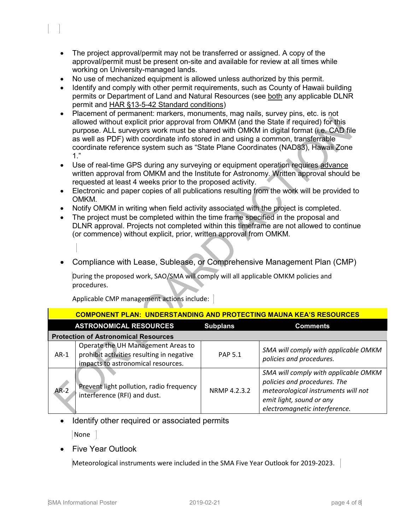- The project approval/permit may not be transferred or assigned. A copy of the approval/permit must be present on-site and available for review at all times while working on University-managed lands.
- No use of mechanized equipment is allowed unless authorized by this permit.
- Identify and comply with other permit requirements, such as County of Hawaii building permits or Department of Land and Natural Resources (see both any applicable DLNR permit and HAR §13-5-42 Standard conditions)
- Placement of permanent: markers, monuments, mag nails, survey pins, etc. is not allowed without explicit prior approval from OMKM (and the State if required) for this purpose. ALL surveyors work must be shared with OMKM in digital format (i.e. CAD file as well as PDF) with coordinate info stored in and using a common, transferrable coordinate reference system such as "State Plane Coordinates (NAD83), Hawaii Zone  $1$ ."
- Use of real-time GPS during any surveying or equipment operation requires advance written approval from OMKM and the Institute for Astronomy. Written approval should be requested at least 4 weeks prior to the proposed activity.
- Electronic and paper copies of all publications resulting from the work will be provided to OMKM.
- Notify OMKM in writing when field activity associated with the project is completed.
- The project must be completed within the time frame specified in the proposal and DLNR approval. Projects not completed within this timeframe are not allowed to continue (or commence) without explicit, prior, written approval from OMKM.
- Compliance with Lease, Sublease, or Comprehensive Management Plan (CMP)

During the proposed work, SAO/SMA will comply will all applicable OMKM policies and procedures.

| <b>COMPONENT PLAN: UNDERSTANDING AND PROTECTING MAUNA KEA'S RESOURCES</b> |                                                                                                                       |                 |                                                                                                                                                                          |
|---------------------------------------------------------------------------|-----------------------------------------------------------------------------------------------------------------------|-----------------|--------------------------------------------------------------------------------------------------------------------------------------------------------------------------|
|                                                                           | <b>ASTRONOMICAL RESOURCES</b>                                                                                         | <b>Subplans</b> | <b>Comments</b>                                                                                                                                                          |
| <b>Protection of Astronomical Resources</b>                               |                                                                                                                       |                 |                                                                                                                                                                          |
| $AR-1$                                                                    | Operate the UH Management Areas to<br>prohibit activities resulting in negative<br>impacts to astronomical resources. | <b>PAP 5.1</b>  | SMA will comply with applicable OMKM<br>policies and procedures.                                                                                                         |
| $AR-2$                                                                    | Prevent light pollution, radio frequency<br>interference (RFI) and dust.                                              | NRMP 4.2.3.2    | SMA will comply with applicable OMKM<br>policies and procedures. The<br>meteorological instruments will not<br>emit light, sound or any<br>electromagnetic interference. |

Applicable CMP management actions include:

• Identify other required or associated permits

None

l,

• Five Year Outlook

Meteorological instruments were included in the SMA Five Year Outlook for 2019-2023.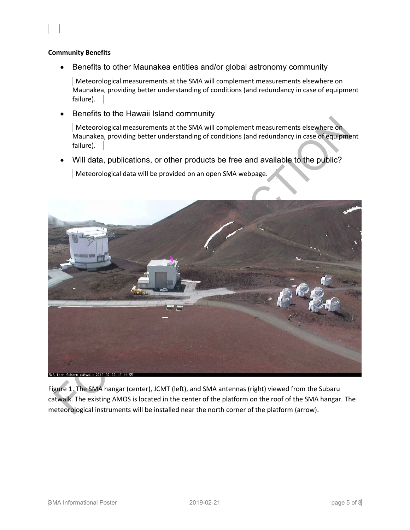#### **Community Benefits**

l,

• Benefits to other Maunakea entities and/or global astronomy community

 Meteorological measurements at the SMA will complement measurements elsewhere on Maunakea, providing better understanding of conditions (and redundancy in case of equipment failure).

• Benefits to the Hawaii Island community

 Meteorological measurements at the SMA will complement measurements elsewhere on Maunakea, providing better understanding of conditions (and redundancy in case of equipment failure).

Will data, publications, or other products be free and available to the public?

Meteorological data will be provided on an open SMA webpage.



Figure 1. The SMA hangar (center), JCMT (left), and SMA antennas (right) viewed from the Subaru catwalk. The existing AMOS is located in the center of the platform on the roof of the SMA hangar. The meteorological instruments will be installed near the north corner of the platform (arrow).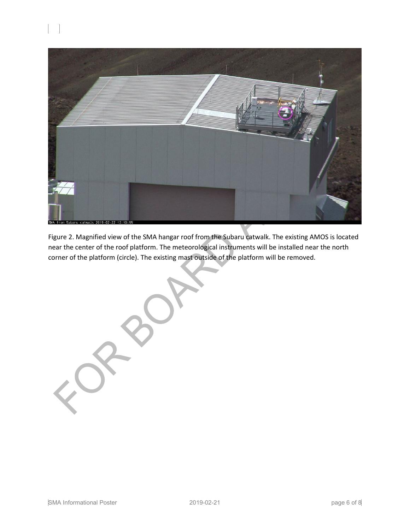

Figure 2. Magnified view of the SMA hangar roof from the Subaru catwalk. The existing AMOS is located near the center of the roof platform. The meteorological instruments will be installed near the north corner of the platform (circle). The existing mast outside of the platform will be removed.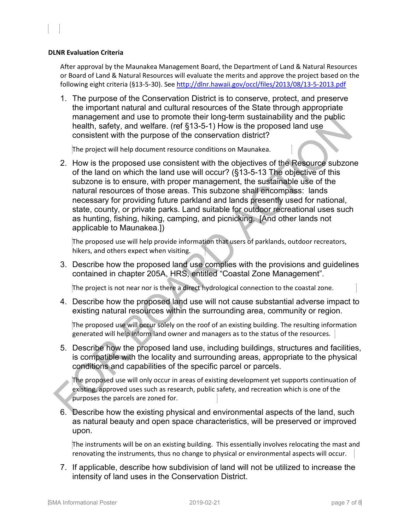#### **DLNR Evaluation Criteria**

l,

After approval by the Maunakea Management Board, the Department of Land & Natural Resources or Board of Land & Natural Resources will evaluate the merits and approve the project based on the following eight criteria (§13-5-30). See<http://dlnr.hawaii.gov/occl/files/2013/08/13-5-2013.pdf>

1. The purpose of the Conservation District is to conserve, protect, and preserve the important natural and cultural resources of the State through appropriate management and use to promote their long-term sustainability and the public health, safety, and welfare. (ref §13-5-1) How is the proposed land use consistent with the purpose of the conservation district?

The project will help document resource conditions on Maunakea.

2. How is the proposed use consistent with the objectives of the Resource subzone of the land on which the land use will occur? (§13-5-13 The objective of this subzone is to ensure, with proper management, the sustainable use of the natural resources of those areas. This subzone shall encompass: lands necessary for providing future parkland and lands presently used for national, state, county, or private parks. Land suitable for outdoor recreational uses such as hunting, fishing, hiking, camping, and picnicking. [And other lands not applicable to Maunakea.])

The proposed use will help provide information that users of parklands, outdoor recreators, hikers, and others expect when visiting.

3. Describe how the proposed land use complies with the provisions and guidelines contained in chapter 205A, HRS, entitled "Coastal Zone Management".

The project is not near nor is there a direct hydrological connection to the coastal zone.

4. Describe how the proposed land use will not cause substantial adverse impact to existing natural resources within the surrounding area, community or region.

The proposed use will occur solely on the roof of an existing building. The resulting information generated will help inform land owner and managers as to the status of the resources.

5. Describe how the proposed land use, including buildings, structures and facilities, is compatible with the locality and surrounding areas, appropriate to the physical conditions and capabilities of the specific parcel or parcels.

The proposed use will only occur in areas of existing development yet supports continuation of existing, approved uses such as research, public safety, and recreation which is one of the purposes the parcels are zoned for.

6. Describe how the existing physical and environmental aspects of the land, such as natural beauty and open space characteristics, will be preserved or improved upon.

The instruments will be on an existing building. This essentially involves relocating the mast and renovating the instruments, thus no change to physical or environmental aspects will occur.

7. If applicable, describe how subdivision of land will not be utilized to increase the intensity of land uses in the Conservation District.